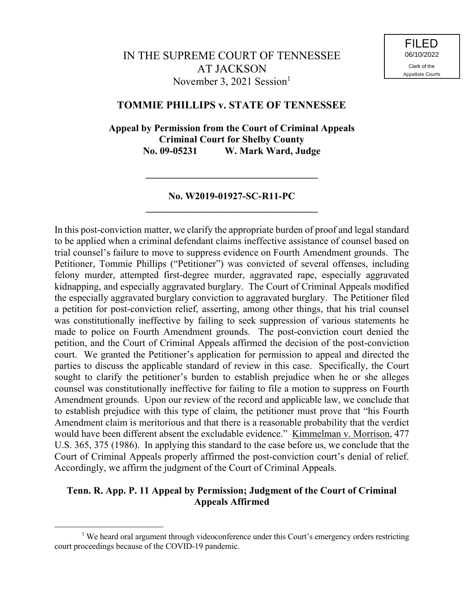# **TOMMIE PHILLIPS v. STATE OF TENNESSEE**

**Appeal by Permission from the Court of Criminal Appeals Criminal Court for Shelby County No. 09-05231 W. Mark Ward, Judge**

## **No. W2019-01927-SC-R11-PC \_\_\_\_\_\_\_\_\_\_\_\_\_\_\_\_\_\_\_\_\_\_\_\_\_\_\_\_\_\_\_\_\_\_\_**

**\_\_\_\_\_\_\_\_\_\_\_\_\_\_\_\_\_\_\_\_\_\_\_\_\_\_\_\_\_\_\_\_\_\_\_**

In this post-conviction matter, we clarify the appropriate burden of proof and legal standard to be applied when a criminal defendant claims ineffective assistance of counsel based on trial counsel's failure to move to suppress evidence on Fourth Amendment grounds. The Petitioner, Tommie Phillips ("Petitioner") was convicted of several offenses, including felony murder, attempted first-degree murder, aggravated rape, especially aggravated kidnapping, and especially aggravated burglary. The Court of Criminal Appeals modified the especially aggravated burglary conviction to aggravated burglary. The Petitioner filed a petition for post-conviction relief, asserting, among other things, that his trial counsel was constitutionally ineffective by failing to seek suppression of various statements he made to police on Fourth Amendment grounds. The post-conviction court denied the petition, and the Court of Criminal Appeals affirmed the decision of the post-conviction court. We granted the Petitioner's application for permission to appeal and directed the parties to discuss the applicable standard of review in this case. Specifically, the Court sought to clarify the petitioner's burden to establish prejudice when he or she alleges counsel was constitutionally ineffective for failing to file a motion to suppress on Fourth Amendment grounds. Upon our review of the record and applicable law, we conclude that to establish prejudice with this type of claim, the petitioner must prove that "his Fourth Amendment claim is meritorious and that there is a reasonable probability that the verdict would have been different absent the excludable evidence." Kimmelman v. Morrison, 477 U.S. 365, 375 (1986). In applying this standard to the case before us, we conclude that the Court of Criminal Appeals properly affirmed the post-conviction court's denial of relief. Accordingly, we affirm the judgment of the Court of Criminal Appeals.

# **Tenn. R. App. P. 11 Appeal by Permission; Judgment of the Court of Criminal Appeals Affirmed**

<sup>&</sup>lt;sup>1</sup> We heard oral argument through videoconference under this Court's emergency orders restricting court proceedings because of the COVID-19 pandemic.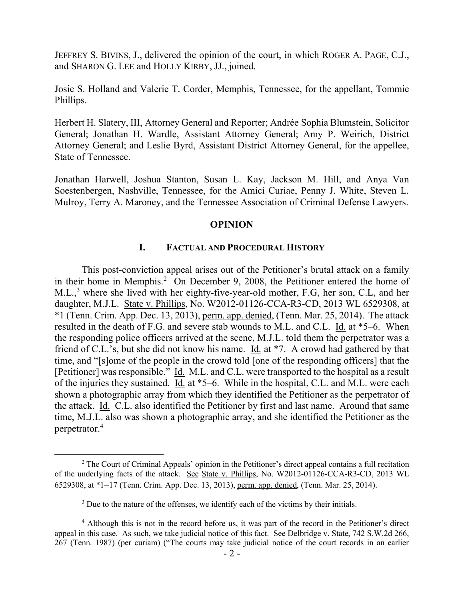JEFFREY S. BIVINS, J., delivered the opinion of the court, in which ROGER A. PAGE, C.J., and SHARON G. LEE and HOLLY KIRBY, JJ., joined.

Josie S. Holland and Valerie T. Corder, Memphis, Tennessee, for the appellant, Tommie Phillips.

Herbert H. Slatery, III, Attorney General and Reporter; Andrée Sophia Blumstein, Solicitor General; Jonathan H. Wardle, Assistant Attorney General; Amy P. Weirich, District Attorney General; and Leslie Byrd, Assistant District Attorney General, for the appellee, State of Tennessee.

Jonathan Harwell, Joshua Stanton, Susan L. Kay, Jackson M. Hill, and Anya Van Soestenbergen, Nashville, Tennessee, for the Amici Curiae, Penny J. White, Steven L. Mulroy, Terry A. Maroney, and the Tennessee Association of Criminal Defense Lawyers.

### **OPINION**

### **I. FACTUAL AND PROCEDURAL HISTORY**

This post-conviction appeal arises out of the Petitioner's brutal attack on a family in their home in Memphis.<sup>2</sup> On December 9, 2008, the Petitioner entered the home of M.L.,<sup>3</sup> where she lived with her eighty-five-year-old mother, F.G, her son, C.L, and her daughter, M.J.L. State v. Phillips, No. W2012-01126-CCA-R3-CD, 2013 WL 6529308, at \*1 (Tenn. Crim. App. Dec. 13, 2013), perm. app. denied, (Tenn. Mar. 25, 2014). The attack resulted in the death of F.G. and severe stab wounds to M.L. and C.L. Id. at \*5–6. When the responding police officers arrived at the scene, M.J.L. told them the perpetrator was a friend of C.L.'s, but she did not know his name. Id. at \*7. A crowd had gathered by that time, and "[s]ome of the people in the crowd told [one of the responding officers] that the [Petitioner] was responsible." Id. M.L. and C.L. were transported to the hospital as a result of the injuries they sustained. Id. at \*5–6. While in the hospital, C.L. and M.L. were each shown a photographic array from which they identified the Petitioner as the perpetrator of the attack. Id. C.L. also identified the Petitioner by first and last name. Around that same time, M.J.L. also was shown a photographic array, and she identified the Petitioner as the perpetrator.<sup>4</sup>

<sup>&</sup>lt;sup>2</sup> The Court of Criminal Appeals' opinion in the Petitioner's direct appeal contains a full recitation of the underlying facts of the attack. See State v. Phillips, No. W2012-01126-CCA-R3-CD, 2013 WL 6529308, at \*1–17 (Tenn. Crim. App. Dec. 13, 2013), perm. app. denied, (Tenn. Mar. 25, 2014).

<sup>&</sup>lt;sup>3</sup> Due to the nature of the offenses, we identify each of the victims by their initials.

<sup>&</sup>lt;sup>4</sup> Although this is not in the record before us, it was part of the record in the Petitioner's direct appeal in this case. As such, we take judicial notice of this fact. See Delbridge v. State, 742 S.W.2d 266, 267 (Tenn. 1987) (per curiam) ("The courts may take judicial notice of the court records in an earlier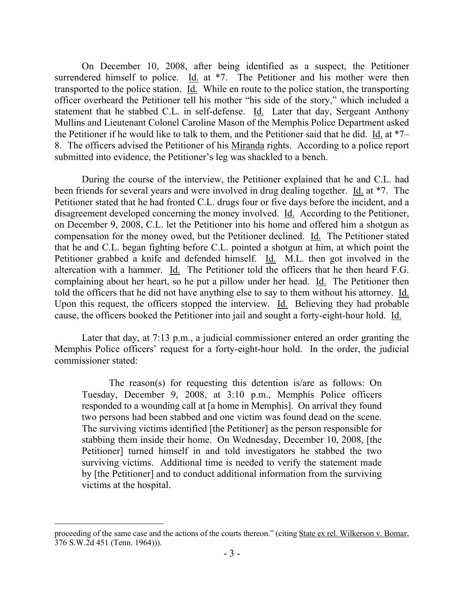On December 10, 2008, after being identified as a suspect, the Petitioner surrendered himself to police. Id. at \*7. The Petitioner and his mother were then transported to the police station. Id. While en route to the police station, the transporting officer overheard the Petitioner tell his mother "his side of the story," which included a statement that he stabbed C.L. in self-defense. Id. Later that day, Sergeant Anthony Mullins and Lieutenant Colonel Caroline Mason of the Memphis Police Department asked the Petitioner if he would like to talk to them, and the Petitioner said that he did. Id. at \*7– 8. The officers advised the Petitioner of his Miranda rights. According to a police report submitted into evidence, the Petitioner's leg was shackled to a bench.

During the course of the interview, the Petitioner explained that he and C.L. had been friends for several years and were involved in drug dealing together. Id. at \*7. The Petitioner stated that he had fronted C.L. drugs four or five days before the incident, and a disagreement developed concerning the money involved. Id. According to the Petitioner, on December 9, 2008, C.L. let the Petitioner into his home and offered him a shotgun as compensation for the money owed, but the Petitioner declined. Id. The Petitioner stated that he and C.L. began fighting before C.L. pointed a shotgun at him, at which point the Petitioner grabbed a knife and defended himself. Id. M.L. then got involved in the altercation with a hammer. Id. The Petitioner told the officers that he then heard F.G. complaining about her heart, so he put a pillow under her head. Id. The Petitioner then told the officers that he did not have anything else to say to them without his attorney. Id. Upon this request, the officers stopped the interview. Id. Believing they had probable cause, the officers booked the Petitioner into jail and sought a forty-eight-hour hold. Id.

Later that day, at 7:13 p.m., a judicial commissioner entered an order granting the Memphis Police officers' request for a forty-eight-hour hold. In the order, the judicial commissioner stated:

The reason(s) for requesting this detention is/are as follows: On Tuesday, December 9, 2008, at 3:10 p.m., Memphis Police officers responded to a wounding call at [a home in Memphis]. On arrival they found two persons had been stabbed and one victim was found dead on the scene. The surviving victims identified [the Petitioner] as the person responsible for stabbing them inside their home. On Wednesday, December 10, 2008, [the Petitioner] turned himself in and told investigators he stabbed the two surviving victims. Additional time is needed to verify the statement made by [the Petitioner] and to conduct additional information from the surviving victims at the hospital.

proceeding of the same case and the actions of the courts thereon." (citing State ex rel. Wilkerson v. Bomar, 376 S.W.2d 451 (Tenn. 1964))).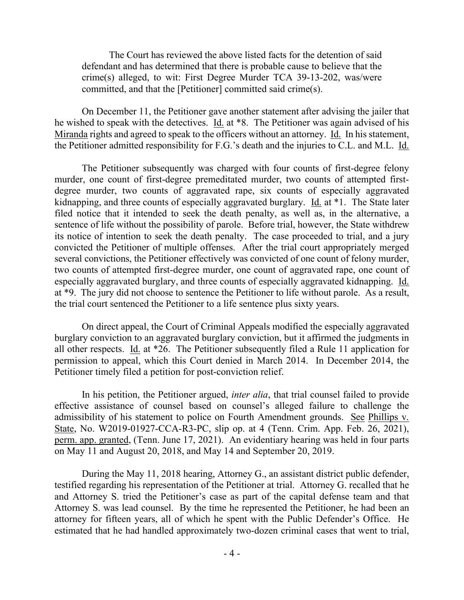The Court has reviewed the above listed facts for the detention of said defendant and has determined that there is probable cause to believe that the crime(s) alleged, to wit: First Degree Murder TCA 39-13-202, was/were committed, and that the [Petitioner] committed said crime(s).

On December 11, the Petitioner gave another statement after advising the jailer that he wished to speak with the detectives. Id. at \*8. The Petitioner was again advised of his Miranda rights and agreed to speak to the officers without an attorney. Id. In his statement, the Petitioner admitted responsibility for F.G.'s death and the injuries to C.L. and M.L. Id.

The Petitioner subsequently was charged with four counts of first-degree felony murder, one count of first-degree premeditated murder, two counts of attempted firstdegree murder, two counts of aggravated rape, six counts of especially aggravated kidnapping, and three counts of especially aggravated burglary. Id. at \*1. The State later filed notice that it intended to seek the death penalty, as well as, in the alternative, a sentence of life without the possibility of parole. Before trial, however, the State withdrew its notice of intention to seek the death penalty. The case proceeded to trial, and a jury convicted the Petitioner of multiple offenses. After the trial court appropriately merged several convictions, the Petitioner effectively was convicted of one count of felony murder, two counts of attempted first-degree murder, one count of aggravated rape, one count of especially aggravated burglary, and three counts of especially aggravated kidnapping. Id. at \*9. The jury did not choose to sentence the Petitioner to life without parole. As a result, the trial court sentenced the Petitioner to a life sentence plus sixty years.

On direct appeal, the Court of Criminal Appeals modified the especially aggravated burglary conviction to an aggravated burglary conviction, but it affirmed the judgments in all other respects. Id. at \*26. The Petitioner subsequently filed a Rule 11 application for permission to appeal, which this Court denied in March 2014. In December 2014, the Petitioner timely filed a petition for post-conviction relief.

In his petition, the Petitioner argued, *inter alia*, that trial counsel failed to provide effective assistance of counsel based on counsel's alleged failure to challenge the admissibility of his statement to police on Fourth Amendment grounds. See Phillips v. State, No. W2019-01927-CCA-R3-PC, slip op. at 4 (Tenn. Crim. App. Feb. 26, 2021), perm. app. granted, (Tenn. June 17, 2021). An evidentiary hearing was held in four parts on May 11 and August 20, 2018, and May 14 and September 20, 2019.

During the May 11, 2018 hearing, Attorney G., an assistant district public defender, testified regarding his representation of the Petitioner at trial. Attorney G. recalled that he and Attorney S. tried the Petitioner's case as part of the capital defense team and that Attorney S. was lead counsel. By the time he represented the Petitioner, he had been an attorney for fifteen years, all of which he spent with the Public Defender's Office. He estimated that he had handled approximately two-dozen criminal cases that went to trial,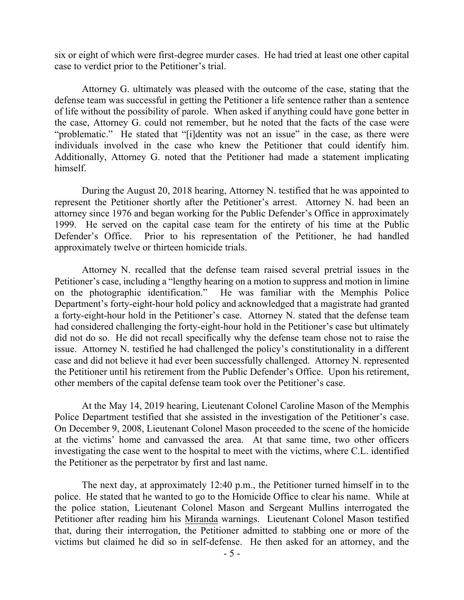six or eight of which were first-degree murder cases. He had tried at least one other capital case to verdict prior to the Petitioner's trial.

Attorney G. ultimately was pleased with the outcome of the case, stating that the defense team was successful in getting the Petitioner a life sentence rather than a sentence of life without the possibility of parole. When asked if anything could have gone better in the case, Attorney G. could not remember, but he noted that the facts of the case were "problematic." He stated that "[i]dentity was not an issue" in the case, as there were individuals involved in the case who knew the Petitioner that could identify him. Additionally, Attorney G. noted that the Petitioner had made a statement implicating himself.

During the August 20, 2018 hearing, Attorney N. testified that he was appointed to represent the Petitioner shortly after the Petitioner's arrest. Attorney N. had been an attorney since 1976 and began working for the Public Defender's Office in approximately 1999. He served on the capital case team for the entirety of his time at the Public Defender's Office. Prior to his representation of the Petitioner, he had handled approximately twelve or thirteen homicide trials.

Attorney N. recalled that the defense team raised several pretrial issues in the Petitioner's case, including a "lengthy hearing on a motion to suppress and motion in limine on the photographic identification." He was familiar with the Memphis Police Department's forty-eight-hour hold policy and acknowledged that a magistrate had granted a forty-eight-hour hold in the Petitioner's case. Attorney N. stated that the defense team had considered challenging the forty-eight-hour hold in the Petitioner's case but ultimately did not do so. He did not recall specifically why the defense team chose not to raise the issue. Attorney N. testified he had challenged the policy's constitutionality in a different case and did not believe it had ever been successfully challenged. Attorney N. represented the Petitioner until his retirement from the Public Defender's Office. Upon his retirement, other members of the capital defense team took over the Petitioner's case.

At the May 14, 2019 hearing, Lieutenant Colonel Caroline Mason of the Memphis Police Department testified that she assisted in the investigation of the Petitioner's case. On December 9, 2008, Lieutenant Colonel Mason proceeded to the scene of the homicide at the victims' home and canvassed the area. At that same time, two other officers investigating the case went to the hospital to meet with the victims, where C.L. identified the Petitioner as the perpetrator by first and last name.

The next day, at approximately 12:40 p.m., the Petitioner turned himself in to the police. He stated that he wanted to go to the Homicide Office to clear his name. While at the police station, Lieutenant Colonel Mason and Sergeant Mullins interrogated the Petitioner after reading him his Miranda warnings. Lieutenant Colonel Mason testified that, during their interrogation, the Petitioner admitted to stabbing one or more of the victims but claimed he did so in self-defense. He then asked for an attorney, and the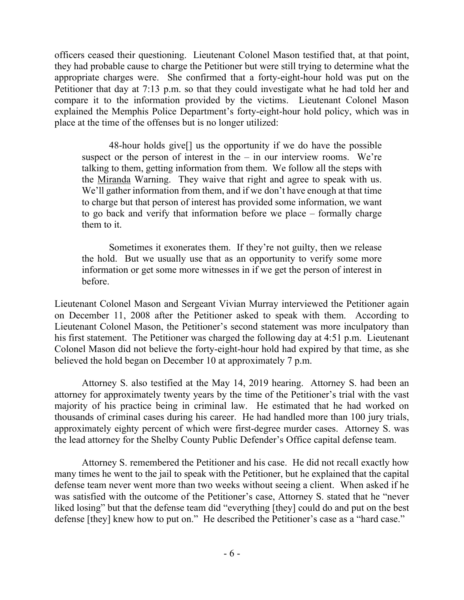officers ceased their questioning. Lieutenant Colonel Mason testified that, at that point, they had probable cause to charge the Petitioner but were still trying to determine what the appropriate charges were. She confirmed that a forty-eight-hour hold was put on the Petitioner that day at 7:13 p.m. so that they could investigate what he had told her and compare it to the information provided by the victims. Lieutenant Colonel Mason explained the Memphis Police Department's forty-eight-hour hold policy, which was in place at the time of the offenses but is no longer utilized:

48-hour holds give[] us the opportunity if we do have the possible suspect or the person of interest in the  $-$  in our interview rooms. We're talking to them, getting information from them. We follow all the steps with the Miranda Warning. They waive that right and agree to speak with us. We'll gather information from them, and if we don't have enough at that time to charge but that person of interest has provided some information, we want to go back and verify that information before we place – formally charge them to it.

Sometimes it exonerates them. If they're not guilty, then we release the hold. But we usually use that as an opportunity to verify some more information or get some more witnesses in if we get the person of interest in before.

Lieutenant Colonel Mason and Sergeant Vivian Murray interviewed the Petitioner again on December 11, 2008 after the Petitioner asked to speak with them. According to Lieutenant Colonel Mason, the Petitioner's second statement was more inculpatory than his first statement. The Petitioner was charged the following day at 4:51 p.m. Lieutenant Colonel Mason did not believe the forty-eight-hour hold had expired by that time, as she believed the hold began on December 10 at approximately 7 p.m.

Attorney S. also testified at the May 14, 2019 hearing. Attorney S. had been an attorney for approximately twenty years by the time of the Petitioner's trial with the vast majority of his practice being in criminal law. He estimated that he had worked on thousands of criminal cases during his career. He had handled more than 100 jury trials, approximately eighty percent of which were first-degree murder cases. Attorney S. was the lead attorney for the Shelby County Public Defender's Office capital defense team.

Attorney S. remembered the Petitioner and his case. He did not recall exactly how many times he went to the jail to speak with the Petitioner, but he explained that the capital defense team never went more than two weeks without seeing a client. When asked if he was satisfied with the outcome of the Petitioner's case, Attorney S. stated that he "never liked losing" but that the defense team did "everything [they] could do and put on the best defense [they] knew how to put on." He described the Petitioner's case as a "hard case."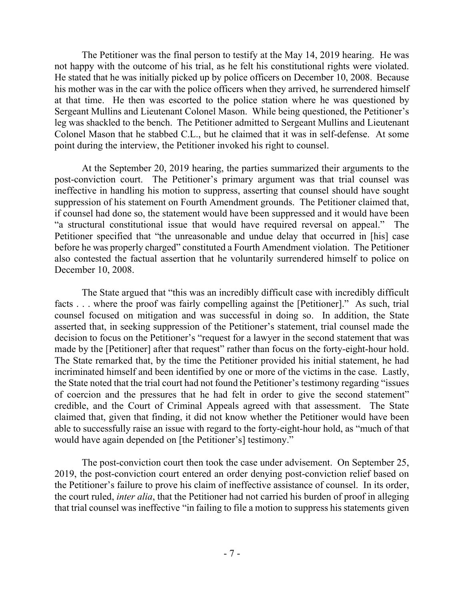The Petitioner was the final person to testify at the May 14, 2019 hearing. He was not happy with the outcome of his trial, as he felt his constitutional rights were violated. He stated that he was initially picked up by police officers on December 10, 2008. Because his mother was in the car with the police officers when they arrived, he surrendered himself at that time. He then was escorted to the police station where he was questioned by Sergeant Mullins and Lieutenant Colonel Mason. While being questioned, the Petitioner's leg was shackled to the bench. The Petitioner admitted to Sergeant Mullins and Lieutenant Colonel Mason that he stabbed C.L., but he claimed that it was in self-defense. At some point during the interview, the Petitioner invoked his right to counsel.

At the September 20, 2019 hearing, the parties summarized their arguments to the post-conviction court. The Petitioner's primary argument was that trial counsel was ineffective in handling his motion to suppress, asserting that counsel should have sought suppression of his statement on Fourth Amendment grounds. The Petitioner claimed that, if counsel had done so, the statement would have been suppressed and it would have been "a structural constitutional issue that would have required reversal on appeal." The Petitioner specified that "the unreasonable and undue delay that occurred in [his] case before he was properly charged" constituted a Fourth Amendment violation. The Petitioner also contested the factual assertion that he voluntarily surrendered himself to police on December 10, 2008.

The State argued that "this was an incredibly difficult case with incredibly difficult facts . . . where the proof was fairly compelling against the [Petitioner]." As such, trial counsel focused on mitigation and was successful in doing so. In addition, the State asserted that, in seeking suppression of the Petitioner's statement, trial counsel made the decision to focus on the Petitioner's "request for a lawyer in the second statement that was made by the [Petitioner] after that request" rather than focus on the forty-eight-hour hold. The State remarked that, by the time the Petitioner provided his initial statement, he had incriminated himself and been identified by one or more of the victims in the case. Lastly, the State noted that the trial court had not found the Petitioner's testimony regarding "issues of coercion and the pressures that he had felt in order to give the second statement" credible, and the Court of Criminal Appeals agreed with that assessment. The State claimed that, given that finding, it did not know whether the Petitioner would have been able to successfully raise an issue with regard to the forty-eight-hour hold, as "much of that would have again depended on [the Petitioner's] testimony."

The post-conviction court then took the case under advisement. On September 25, 2019, the post-conviction court entered an order denying post-conviction relief based on the Petitioner's failure to prove his claim of ineffective assistance of counsel. In its order, the court ruled, *inter alia*, that the Petitioner had not carried his burden of proof in alleging that trial counsel was ineffective "in failing to file a motion to suppress his statements given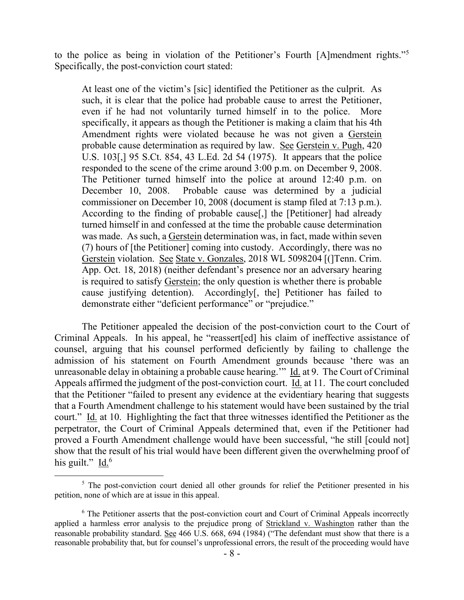to the police as being in violation of the Petitioner's Fourth [A]mendment rights."<sup>5</sup> Specifically, the post-conviction court stated:

At least one of the victim's [sic] identified the Petitioner as the culprit. As such, it is clear that the police had probable cause to arrest the Petitioner, even if he had not voluntarily turned himself in to the police. More specifically, it appears as though the Petitioner is making a claim that his 4th Amendment rights were violated because he was not given a Gerstein probable cause determination as required by law. See Gerstein v. Pugh, 420 U.S. 103[,] 95 S.Ct. 854, 43 L.Ed. 2d 54 (1975). It appears that the police responded to the scene of the crime around 3:00 p.m. on December 9, 2008. The Petitioner turned himself into the police at around 12:40 p.m. on December 10, 2008. Probable cause was determined by a judicial commissioner on December 10, 2008 (document is stamp filed at 7:13 p.m.). According to the finding of probable cause[,] the [Petitioner] had already turned himself in and confessed at the time the probable cause determination was made. As such, a Gerstein determination was, in fact, made within seven (7) hours of [the Petitioner] coming into custody. Accordingly, there was no Gerstein violation. See State v. Gonzales, 2018 WL 5098204 [(]Tenn. Crim. App. Oct. 18, 2018) (neither defendant's presence nor an adversary hearing is required to satisfy Gerstein; the only question is whether there is probable cause justifying detention). Accordingly[, the] Petitioner has failed to demonstrate either "deficient performance" or "prejudice."

The Petitioner appealed the decision of the post-conviction court to the Court of Criminal Appeals. In his appeal, he "reassert[ed] his claim of ineffective assistance of counsel, arguing that his counsel performed deficiently by failing to challenge the admission of his statement on Fourth Amendment grounds because 'there was an unreasonable delay in obtaining a probable cause hearing.'" Id. at 9. The Court of Criminal Appeals affirmed the judgment of the post-conviction court. Id. at 11. The court concluded that the Petitioner "failed to present any evidence at the evidentiary hearing that suggests that a Fourth Amendment challenge to his statement would have been sustained by the trial court." Id. at 10. Highlighting the fact that three witnesses identified the Petitioner as the perpetrator, the Court of Criminal Appeals determined that, even if the Petitioner had proved a Fourth Amendment challenge would have been successful, "he still [could not] show that the result of his trial would have been different given the overwhelming proof of his guilt." Id.<sup>6</sup>

<sup>&</sup>lt;sup>5</sup> The post-conviction court denied all other grounds for relief the Petitioner presented in his petition, none of which are at issue in this appeal.

 $6$  The Petitioner asserts that the post-conviction court and Court of Criminal Appeals incorrectly applied a harmless error analysis to the prejudice prong of Strickland v. Washington rather than the reasonable probability standard. See 466 U.S. 668, 694 (1984) ("The defendant must show that there is a reasonable probability that, but for counsel's unprofessional errors, the result of the proceeding would have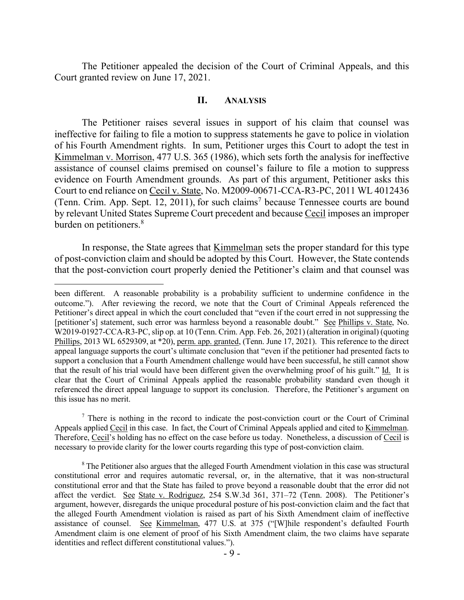The Petitioner appealed the decision of the Court of Criminal Appeals, and this Court granted review on June 17, 2021.

### **II. ANALYSIS**

The Petitioner raises several issues in support of his claim that counsel was ineffective for failing to file a motion to suppress statements he gave to police in violation of his Fourth Amendment rights. In sum, Petitioner urges this Court to adopt the test in Kimmelman v. Morrison, 477 U.S. 365 (1986), which sets forth the analysis for ineffective assistance of counsel claims premised on counsel's failure to file a motion to suppress evidence on Fourth Amendment grounds. As part of this argument, Petitioner asks this Court to end reliance on Cecil v. State, No. M2009-00671-CCA-R3-PC, 2011 WL 4012436 (Tenn. Crim. App. Sept. 12, 2011), for such claims<sup>7</sup> because Tennessee courts are bound by relevant United States Supreme Court precedent and because Cecil imposes an improper burden on petitioners.<sup>8</sup>

In response, the State agrees that Kimmelman sets the proper standard for this type of post-conviction claim and should be adopted by this Court. However, the State contends that the post-conviction court properly denied the Petitioner's claim and that counsel was

 $\overline{a}$ 

 $<sup>7</sup>$  There is nothing in the record to indicate the post-conviction court or the Court of Criminal</sup> Appeals applied Cecil in this case. In fact, the Court of Criminal Appeals applied and cited to Kimmelman. Therefore, Cecil's holding has no effect on the case before us today. Nonetheless, a discussion of Cecil is necessary to provide clarity for the lower courts regarding this type of post-conviction claim.

<sup>8</sup> The Petitioner also argues that the alleged Fourth Amendment violation in this case was structural constitutional error and requires automatic reversal, or, in the alternative, that it was non-structural constitutional error and that the State has failed to prove beyond a reasonable doubt that the error did not affect the verdict. See State v. Rodriguez, 254 S.W.3d 361, 371–72 (Tenn. 2008). The Petitioner's argument, however, disregards the unique procedural posture of his post-conviction claim and the fact that the alleged Fourth Amendment violation is raised as part of his Sixth Amendment claim of ineffective assistance of counsel. See Kimmelman, 477 U.S. at 375 ("[W]hile respondent's defaulted Fourth Amendment claim is one element of proof of his Sixth Amendment claim, the two claims have separate identities and reflect different constitutional values.").

been different. A reasonable probability is a probability sufficient to undermine confidence in the outcome."). After reviewing the record, we note that the Court of Criminal Appeals referenced the Petitioner's direct appeal in which the court concluded that "even if the court erred in not suppressing the [petitioner's] statement, such error was harmless beyond a reasonable doubt." See Phillips v. State, No. W2019-01927-CCA-R3-PC, slip op. at 10 (Tenn. Crim. App. Feb. 26, 2021) (alteration in original) (quoting Phillips, 2013 WL 6529309, at \*20), perm. app. granted, (Tenn. June 17, 2021). This reference to the direct appeal language supports the court's ultimate conclusion that "even if the petitioner had presented facts to support a conclusion that a Fourth Amendment challenge would have been successful, he still cannot show that the result of his trial would have been different given the overwhelming proof of his guilt." Id. It is clear that the Court of Criminal Appeals applied the reasonable probability standard even though it referenced the direct appeal language to support its conclusion. Therefore, the Petitioner's argument on this issue has no merit.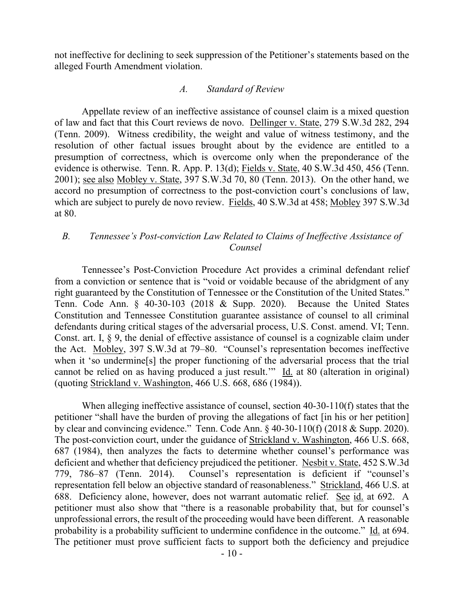not ineffective for declining to seek suppression of the Petitioner's statements based on the alleged Fourth Amendment violation.

### *A. Standard of Review*

Appellate review of an ineffective assistance of counsel claim is a mixed question of law and fact that this Court reviews de novo. Dellinger v. State, 279 S.W.3d 282, 294 (Tenn. 2009). Witness credibility, the weight and value of witness testimony, and the resolution of other factual issues brought about by the evidence are entitled to a presumption of correctness, which is overcome only when the preponderance of the evidence is otherwise. Tenn. R. App. P. 13(d); Fields v. State, 40 S.W.3d 450, 456 (Tenn. 2001); see also Mobley v. State, 397 S.W.3d 70, 80 (Tenn. 2013). On the other hand, we accord no presumption of correctness to the post-conviction court's conclusions of law, which are subject to purely de novo review. Fields, 40 S.W.3d at 458; Mobley 397 S.W.3d at 80.

# *B. Tennessee's Post-conviction Law Related to Claims of Ineffective Assistance of Counsel*

Tennessee's Post-Conviction Procedure Act provides a criminal defendant relief from a conviction or sentence that is "void or voidable because of the abridgment of any right guaranteed by the Constitution of Tennessee or the Constitution of the United States." Tenn. Code Ann. § 40-30-103 (2018 & Supp. 2020). Because the United States Constitution and Tennessee Constitution guarantee assistance of counsel to all criminal defendants during critical stages of the adversarial process, U.S. Const. amend. VI; Tenn. Const. art. I, § 9, the denial of effective assistance of counsel is a cognizable claim under the Act. Mobley, 397 S.W.3d at 79–80. "Counsel's representation becomes ineffective when it 'so undermine<sup>[s]</sup> the proper functioning of the adversarial process that the trial cannot be relied on as having produced a just result.'" Id. at 80 (alteration in original) (quoting Strickland v. Washington, 466 U.S. 668, 686 (1984)).

When alleging ineffective assistance of counsel, section 40-30-110(f) states that the petitioner "shall have the burden of proving the allegations of fact [in his or her petition] by clear and convincing evidence." Tenn. Code Ann. § 40-30-110(f) (2018 & Supp. 2020). The post-conviction court, under the guidance of Strickland v. Washington, 466 U.S. 668, 687 (1984), then analyzes the facts to determine whether counsel's performance was deficient and whether that deficiency prejudiced the petitioner. Nesbit v. State, 452 S.W.3d 779, 786–87 (Tenn. 2014). Counsel's representation is deficient if "counsel's representation fell below an objective standard of reasonableness." Strickland, 466 U.S. at 688. Deficiency alone, however, does not warrant automatic relief. See id. at 692. A petitioner must also show that "there is a reasonable probability that, but for counsel's unprofessional errors, the result of the proceeding would have been different. A reasonable probability is a probability sufficient to undermine confidence in the outcome." Id. at 694. The petitioner must prove sufficient facts to support both the deficiency and prejudice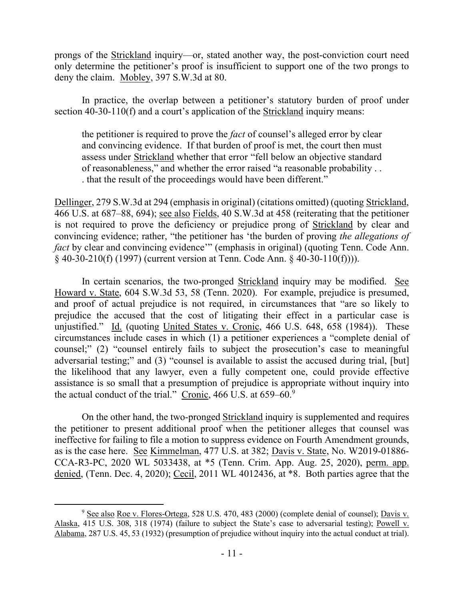prongs of the Strickland inquiry—or, stated another way, the post-conviction court need only determine the petitioner's proof is insufficient to support one of the two prongs to deny the claim. Mobley, 397 S.W.3d at 80.

In practice, the overlap between a petitioner's statutory burden of proof under section 40-30-110(f) and a court's application of the Strickland inquiry means:

the petitioner is required to prove the *fact* of counsel's alleged error by clear and convincing evidence. If that burden of proof is met, the court then must assess under Strickland whether that error "fell below an objective standard of reasonableness," and whether the error raised "a reasonable probability . . . that the result of the proceedings would have been different."

Dellinger, 279 S.W.3d at 294 (emphasis in original) (citations omitted) (quoting Strickland, 466 U.S. at 687–88, 694); see also Fields, 40 S.W.3d at 458 (reiterating that the petitioner is not required to prove the deficiency or prejudice prong of Strickland by clear and convincing evidence; rather, "the petitioner has 'the burden of proving *the allegations of fact* by clear and convincing evidence" (emphasis in original) (quoting Tenn. Code Ann. § 40-30-210(f) (1997) (current version at Tenn. Code Ann. § 40-30-110(f)))).

In certain scenarios, the two-pronged Strickland inquiry may be modified. See Howard v. State, 604 S.W.3d 53, 58 (Tenn. 2020). For example, prejudice is presumed, and proof of actual prejudice is not required, in circumstances that "are so likely to prejudice the accused that the cost of litigating their effect in a particular case is unjustified." Id. (quoting United States v. Cronic, 466 U.S. 648, 658 (1984)). These circumstances include cases in which (1) a petitioner experiences a "complete denial of counsel;" (2) "counsel entirely fails to subject the prosecution's case to meaningful adversarial testing;" and (3) "counsel is available to assist the accused during trial, [but] the likelihood that any lawyer, even a fully competent one, could provide effective assistance is so small that a presumption of prejudice is appropriate without inquiry into the actual conduct of the trial." Cronic, 466 U.S. at 659–60.9

On the other hand, the two-pronged Strickland inquiry is supplemented and requires the petitioner to present additional proof when the petitioner alleges that counsel was ineffective for failing to file a motion to suppress evidence on Fourth Amendment grounds, as is the case here. See Kimmelman, 477 U.S. at 382; Davis v. State, No. W2019-01886- CCA-R3-PC, 2020 WL 5033438, at \*5 (Tenn. Crim. App. Aug. 25, 2020), perm. app. denied, (Tenn. Dec. 4, 2020); Cecil, 2011 WL 4012436, at \*8. Both parties agree that the

 $\overline{a}$ <sup>9</sup> See also Roe v. Flores-Ortega, 528 U.S. 470, 483 (2000) (complete denial of counsel); Davis v. Alaska, 415 U.S. 308, 318 (1974) (failure to subject the State's case to adversarial testing); Powell v. Alabama, 287 U.S. 45, 53 (1932) (presumption of prejudice without inquiry into the actual conduct at trial).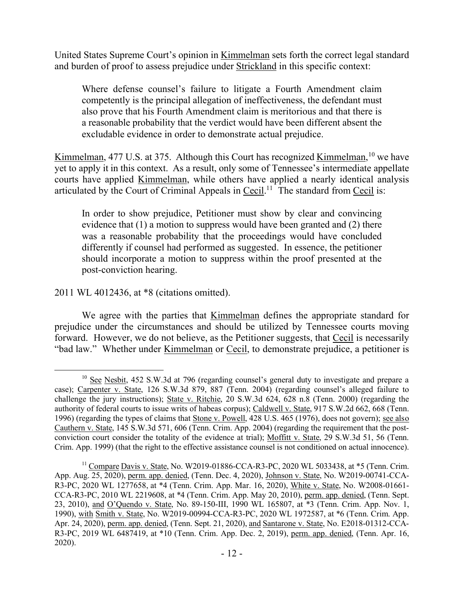United States Supreme Court's opinion in Kimmelman sets forth the correct legal standard and burden of proof to assess prejudice under Strickland in this specific context:

Where defense counsel's failure to litigate a Fourth Amendment claim competently is the principal allegation of ineffectiveness, the defendant must also prove that his Fourth Amendment claim is meritorious and that there is a reasonable probability that the verdict would have been different absent the excludable evidence in order to demonstrate actual prejudice.

Kimmelman, 477 U.S. at 375. Although this Court has recognized Kimmelman, <sup>10</sup> we have yet to apply it in this context. As a result, only some of Tennessee's intermediate appellate courts have applied Kimmelman, while others have applied a nearly identical analysis articulated by the Court of Criminal Appeals in  $Cecil$ .<sup>11</sup> The standard from  $Cecil$  is:

In order to show prejudice, Petitioner must show by clear and convincing evidence that (1) a motion to suppress would have been granted and (2) there was a reasonable probability that the proceedings would have concluded differently if counsel had performed as suggested. In essence, the petitioner should incorporate a motion to suppress within the proof presented at the post-conviction hearing.

# 2011 WL 4012436, at \*8 (citations omitted).

We agree with the parties that Kimmelman defines the appropriate standard for prejudice under the circumstances and should be utilized by Tennessee courts moving forward. However, we do not believe, as the Petitioner suggests, that Cecil is necessarily "bad law." Whether under Kimmelman or Cecil, to demonstrate prejudice, a petitioner is

  $10$  See Nesbit, 452 S.W.3d at 796 (regarding counsel's general duty to investigate and prepare a case); Carpenter v. State, 126 S.W.3d 879, 887 (Tenn. 2004) (regarding counsel's alleged failure to challenge the jury instructions); State v. Ritchie, 20 S.W.3d 624, 628 n.8 (Tenn. 2000) (regarding the authority of federal courts to issue writs of habeas corpus); Caldwell v. State, 917 S.W.2d 662, 668 (Tenn. 1996) (regarding the types of claims that Stone v. Powell, 428 U.S. 465 (1976), does not govern); see also Cauthern v. State, 145 S.W.3d 571, 606 (Tenn. Crim. App. 2004) (regarding the requirement that the postconviction court consider the totality of the evidence at trial); Moffitt v. State, 29 S.W.3d 51, 56 (Tenn. Crim. App. 1999) (that the right to the effective assistance counsel is not conditioned on actual innocence).

 $11 \text{ Compare Davis } v$ . State, No. W2019-01886-CCA-R3-PC, 2020 WL 5033438, at  $*5$  (Tenn. Crim. App. Aug. 25, 2020), perm. app. denied, (Tenn. Dec. 4, 2020), Johnson v. State, No. W2019-00741-CCA-R3-PC, 2020 WL 1277658, at \*4 (Tenn. Crim. App. Mar. 16, 2020), White v. State, No. W2008-01661- CCA-R3-PC, 2010 WL 2219608, at \*4 (Tenn. Crim. App. May 20, 2010), perm. app. denied, (Tenn. Sept. 23, 2010), and O'Quendo v. State, No. 89-150-III, 1990 WL 165807, at \*3 (Tenn. Crim. App. Nov. 1, 1990), with Smith v. State, No. W2019-00994-CCA-R3-PC, 2020 WL 1972587, at \*6 (Tenn. Crim. App. Apr. 24, 2020), perm. app. denied, (Tenn. Sept. 21, 2020), and Santarone v. State, No. E2018-01312-CCA-R3-PC, 2019 WL 6487419, at \*10 (Tenn. Crim. App. Dec. 2, 2019), perm. app. denied, (Tenn. Apr. 16, 2020).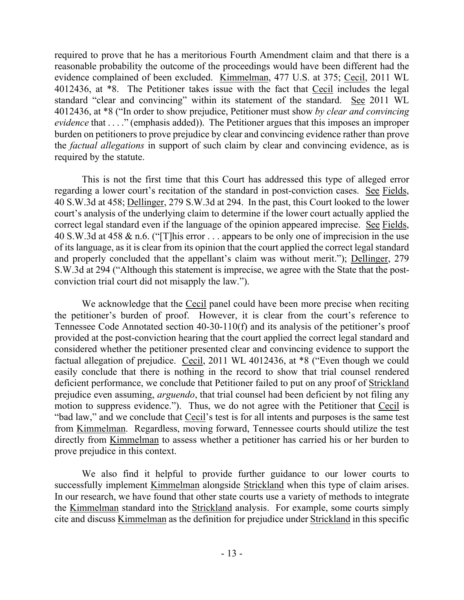required to prove that he has a meritorious Fourth Amendment claim and that there is a reasonable probability the outcome of the proceedings would have been different had the evidence complained of been excluded. Kimmelman, 477 U.S. at 375; Cecil, 2011 WL 4012436, at \*8. The Petitioner takes issue with the fact that Cecil includes the legal standard "clear and convincing" within its statement of the standard. See 2011 WL 4012436, at \*8 ("In order to show prejudice, Petitioner must show *by clear and convincing evidence* that . . . ." (emphasis added)). The Petitioner argues that this imposes an improper burden on petitioners to prove prejudice by clear and convincing evidence rather than prove the *factual allegations* in support of such claim by clear and convincing evidence, as is required by the statute.

This is not the first time that this Court has addressed this type of alleged error regarding a lower court's recitation of the standard in post-conviction cases. See Fields, 40 S.W.3d at 458; Dellinger, 279 S.W.3d at 294. In the past, this Court looked to the lower court's analysis of the underlying claim to determine if the lower court actually applied the correct legal standard even if the language of the opinion appeared imprecise. See Fields, 40 S.W.3d at 458 & n.6. ("[T]his error . . . appears to be only one of imprecision in the use of its language, as it is clear from its opinion that the court applied the correct legal standard and properly concluded that the appellant's claim was without merit."); Dellinger, 279 S.W.3d at 294 ("Although this statement is imprecise, we agree with the State that the postconviction trial court did not misapply the law.").

We acknowledge that the Cecil panel could have been more precise when reciting the petitioner's burden of proof. However, it is clear from the court's reference to Tennessee Code Annotated section 40-30-110(f) and its analysis of the petitioner's proof provided at the post-conviction hearing that the court applied the correct legal standard and considered whether the petitioner presented clear and convincing evidence to support the factual allegation of prejudice. Cecil, 2011 WL 4012436, at \*8 ("Even though we could easily conclude that there is nothing in the record to show that trial counsel rendered deficient performance, we conclude that Petitioner failed to put on any proof of Strickland prejudice even assuming, *arguendo*, that trial counsel had been deficient by not filing any motion to suppress evidence."). Thus, we do not agree with the Petitioner that Cecil is "bad law," and we conclude that Cecil's test is for all intents and purposes is the same test from Kimmelman. Regardless, moving forward, Tennessee courts should utilize the test directly from Kimmelman to assess whether a petitioner has carried his or her burden to prove prejudice in this context.

We also find it helpful to provide further guidance to our lower courts to successfully implement Kimmelman alongside Strickland when this type of claim arises. In our research, we have found that other state courts use a variety of methods to integrate the Kimmelman standard into the Strickland analysis. For example, some courts simply cite and discuss Kimmelman as the definition for prejudice under Strickland in this specific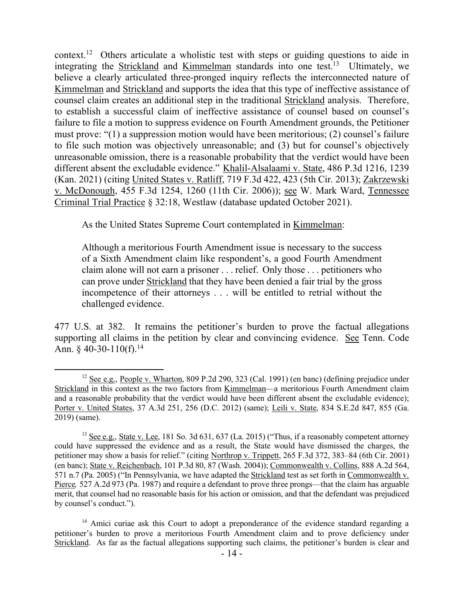context.<sup>12</sup> Others articulate a wholistic test with steps or guiding questions to aide in integrating the Strickland and Kimmelman standards into one test.<sup>13</sup> Ultimately, we believe a clearly articulated three-pronged inquiry reflects the interconnected nature of Kimmelman and Strickland and supports the idea that this type of ineffective assistance of counsel claim creates an additional step in the traditional Strickland analysis. Therefore, to establish a successful claim of ineffective assistance of counsel based on counsel's failure to file a motion to suppress evidence on Fourth Amendment grounds, the Petitioner must prove: "(1) a suppression motion would have been meritorious; (2) counsel's failure to file such motion was objectively unreasonable; and (3) but for counsel's objectively unreasonable omission, there is a reasonable probability that the verdict would have been different absent the excludable evidence." Khalil-Alsalaami v. State, 486 P.3d 1216, 1239 (Kan. 2021) (citing United States v. Ratliff, 719 F.3d 422, 423 (5th Cir. 2013); Zakrzewski v. McDonough, 455 F.3d 1254, 1260 (11th Cir. 2006)); see W. Mark Ward, Tennessee Criminal Trial Practice § 32:18, Westlaw (database updated October 2021).

As the United States Supreme Court contemplated in Kimmelman:

Although a meritorious Fourth Amendment issue is necessary to the success of a Sixth Amendment claim like respondent's, a good Fourth Amendment claim alone will not earn a prisoner . . . relief. Only those . . . petitioners who can prove under Strickland that they have been denied a fair trial by the gross incompetence of their attorneys . . . will be entitled to retrial without the challenged evidence.

477 U.S. at 382. It remains the petitioner's burden to prove the factual allegations supporting all claims in the petition by clear and convincing evidence. See Tenn. Code Ann.  $\frac{6}{9}$  40-30-110(f).<sup>14</sup>

 $12$  See e.g., People v. Wharton, 809 P.2d 290, 323 (Cal. 1991) (en banc) (defining prejudice under Strickland in this context as the two factors from Kimmelman—a meritorious Fourth Amendment claim and a reasonable probability that the verdict would have been different absent the excludable evidence); Porter v. United States, 37 A.3d 251, 256 (D.C. 2012) (same); Leili v. State, 834 S.E.2d 847, 855 (Ga. 2019) (same).

 $13$  See e.g., State v. Lee, 181 So. 3d 631, 637 (La. 2015) ("Thus, if a reasonably competent attorney could have suppressed the evidence and as a result, the State would have dismissed the charges, the petitioner may show a basis for relief." (citing Northrop v. Trippett, 265 F.3d 372, 383–84 (6th Cir. 2001) (en banc); State v. Reichenbach, 101 P.3d 80, 87 (Wash. 2004)); Commonwealth v. Collins, 888 A.2d 564, 571 n.7 (Pa. 2005) ("In Pennsylvania, we have adapted the Strickland test as set forth in Commonwealth v. Pierce, 527 A.2d 973 (Pa. 1987) and require a defendant to prove three prongs—that the claim has arguable merit, that counsel had no reasonable basis for his action or omission, and that the defendant was prejudiced by counsel's conduct.").

 $14$  Amici curiae ask this Court to adopt a preponderance of the evidence standard regarding a petitioner's burden to prove a meritorious Fourth Amendment claim and to prove deficiency under Strickland. As far as the factual allegations supporting such claims, the petitioner's burden is clear and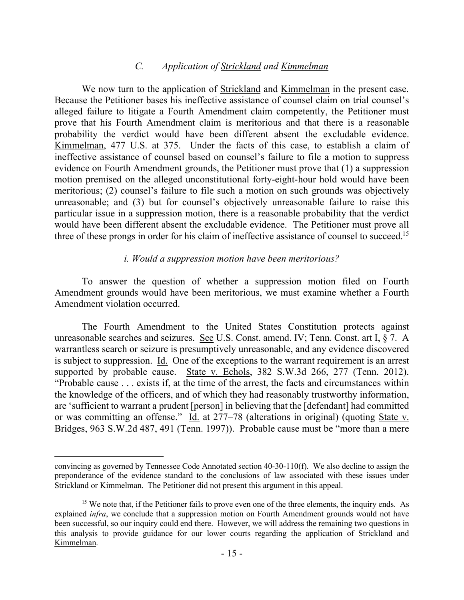### *C. Application of Strickland and Kimmelman*

We now turn to the application of Strickland and Kimmelman in the present case. Because the Petitioner bases his ineffective assistance of counsel claim on trial counsel's alleged failure to litigate a Fourth Amendment claim competently, the Petitioner must prove that his Fourth Amendment claim is meritorious and that there is a reasonable probability the verdict would have been different absent the excludable evidence. Kimmelman, 477 U.S. at 375. Under the facts of this case, to establish a claim of ineffective assistance of counsel based on counsel's failure to file a motion to suppress evidence on Fourth Amendment grounds, the Petitioner must prove that (1) a suppression motion premised on the alleged unconstitutional forty-eight-hour hold would have been meritorious; (2) counsel's failure to file such a motion on such grounds was objectively unreasonable; and (3) but for counsel's objectively unreasonable failure to raise this particular issue in a suppression motion, there is a reasonable probability that the verdict would have been different absent the excludable evidence. The Petitioner must prove all three of these prongs in order for his claim of ineffective assistance of counsel to succeed.<sup>15</sup>

#### *i. Would a suppression motion have been meritorious?*

To answer the question of whether a suppression motion filed on Fourth Amendment grounds would have been meritorious, we must examine whether a Fourth Amendment violation occurred.

The Fourth Amendment to the United States Constitution protects against unreasonable searches and seizures. See U.S. Const. amend. IV; Tenn. Const. art I, § 7. A warrantless search or seizure is presumptively unreasonable, and any evidence discovered is subject to suppression. Id. One of the exceptions to the warrant requirement is an arrest supported by probable cause. State v. Echols, 382 S.W.3d 266, 277 (Tenn. 2012). "Probable cause . . . exists if, at the time of the arrest, the facts and circumstances within the knowledge of the officers, and of which they had reasonably trustworthy information, are 'sufficient to warrant a prudent [person] in believing that the [defendant] had committed or was committing an offense." Id. at 277–78 (alterations in original) (quoting State v. Bridges, 963 S.W.2d 487, 491 (Tenn. 1997)). Probable cause must be "more than a mere

convincing as governed by Tennessee Code Annotated section 40-30-110(f). We also decline to assign the preponderance of the evidence standard to the conclusions of law associated with these issues under Strickland or Kimmelman. The Petitioner did not present this argument in this appeal.

<sup>&</sup>lt;sup>15</sup> We note that, if the Petitioner fails to prove even one of the three elements, the inquiry ends. As explained *infra*, we conclude that a suppression motion on Fourth Amendment grounds would not have been successful, so our inquiry could end there. However, we will address the remaining two questions in this analysis to provide guidance for our lower courts regarding the application of Strickland and Kimmelman.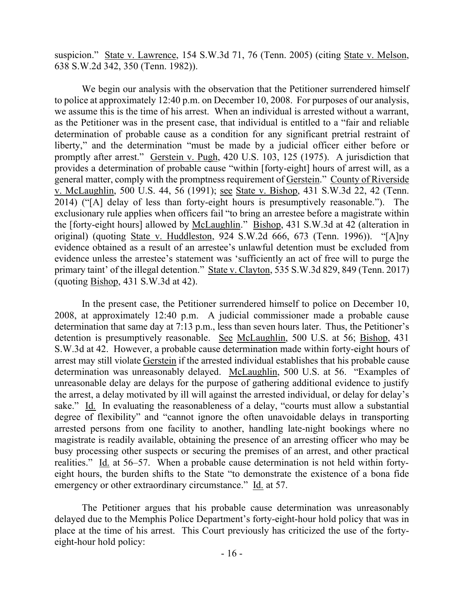suspicion." State v. Lawrence, 154 S.W.3d 71, 76 (Tenn. 2005) (citing State v. Melson, 638 S.W.2d 342, 350 (Tenn. 1982)).

We begin our analysis with the observation that the Petitioner surrendered himself to police at approximately 12:40 p.m. on December 10, 2008. For purposes of our analysis, we assume this is the time of his arrest. When an individual is arrested without a warrant, as the Petitioner was in the present case, that individual is entitled to a "fair and reliable determination of probable cause as a condition for any significant pretrial restraint of liberty," and the determination "must be made by a judicial officer either before or promptly after arrest." Gerstein v. Pugh, 420 U.S. 103, 125 (1975). A jurisdiction that provides a determination of probable cause "within [forty-eight] hours of arrest will, as a general matter, comply with the promptness requirement of Gerstein." County of Riverside v. McLaughlin, 500 U.S. 44, 56 (1991); see State v. Bishop, 431 S.W.3d 22, 42 (Tenn. 2014) ("[A] delay of less than forty-eight hours is presumptively reasonable."). The exclusionary rule applies when officers fail "to bring an arrestee before a magistrate within the [forty-eight hours] allowed by McLaughlin." Bishop, 431 S.W.3d at 42 (alteration in original) (quoting State v. Huddleston, 924 S.W.2d 666, 673 (Tenn. 1996)). "[A]ny evidence obtained as a result of an arrestee's unlawful detention must be excluded from evidence unless the arrestee's statement was 'sufficiently an act of free will to purge the primary taint' of the illegal detention." State v. Clayton, 535 S.W.3d 829, 849 (Tenn. 2017) (quoting Bishop, 431 S.W.3d at 42).

In the present case, the Petitioner surrendered himself to police on December 10, 2008, at approximately 12:40 p.m. A judicial commissioner made a probable cause determination that same day at 7:13 p.m., less than seven hours later. Thus, the Petitioner's detention is presumptively reasonable. See McLaughlin, 500 U.S. at 56; Bishop, 431 S.W.3d at 42. However, a probable cause determination made within forty-eight hours of arrest may still violate Gerstein if the arrested individual establishes that his probable cause determination was unreasonably delayed. McLaughlin, 500 U.S. at 56. "Examples of unreasonable delay are delays for the purpose of gathering additional evidence to justify the arrest, a delay motivated by ill will against the arrested individual, or delay for delay's sake." Id. In evaluating the reasonableness of a delay, "courts must allow a substantial degree of flexibility" and "cannot ignore the often unavoidable delays in transporting arrested persons from one facility to another, handling late-night bookings where no magistrate is readily available, obtaining the presence of an arresting officer who may be busy processing other suspects or securing the premises of an arrest, and other practical realities." Id. at 56–57. When a probable cause determination is not held within fortyeight hours, the burden shifts to the State "to demonstrate the existence of a bona fide emergency or other extraordinary circumstance." Id. at 57.

The Petitioner argues that his probable cause determination was unreasonably delayed due to the Memphis Police Department's forty-eight-hour hold policy that was in place at the time of his arrest. This Court previously has criticized the use of the fortyeight-hour hold policy: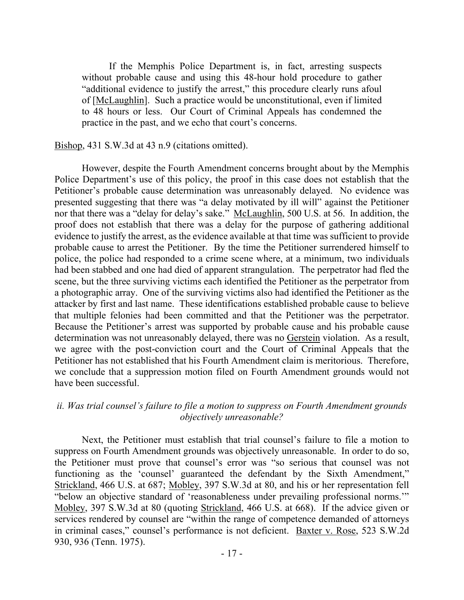If the Memphis Police Department is, in fact, arresting suspects without probable cause and using this 48-hour hold procedure to gather "additional evidence to justify the arrest," this procedure clearly runs afoul of [McLaughlin]. Such a practice would be unconstitutional, even if limited to 48 hours or less. Our Court of Criminal Appeals has condemned the practice in the past, and we echo that court's concerns.

Bishop, 431 S.W.3d at 43 n.9 (citations omitted).

However, despite the Fourth Amendment concerns brought about by the Memphis Police Department's use of this policy, the proof in this case does not establish that the Petitioner's probable cause determination was unreasonably delayed. No evidence was presented suggesting that there was "a delay motivated by ill will" against the Petitioner nor that there was a "delay for delay's sake." McLaughlin, 500 U.S. at 56. In addition, the proof does not establish that there was a delay for the purpose of gathering additional evidence to justify the arrest, as the evidence available at that time was sufficient to provide probable cause to arrest the Petitioner. By the time the Petitioner surrendered himself to police, the police had responded to a crime scene where, at a minimum, two individuals had been stabbed and one had died of apparent strangulation. The perpetrator had fled the scene, but the three surviving victims each identified the Petitioner as the perpetrator from a photographic array. One of the surviving victims also had identified the Petitioner as the attacker by first and last name. These identifications established probable cause to believe that multiple felonies had been committed and that the Petitioner was the perpetrator. Because the Petitioner's arrest was supported by probable cause and his probable cause determination was not unreasonably delayed, there was no Gerstein violation. As a result, we agree with the post-conviction court and the Court of Criminal Appeals that the Petitioner has not established that his Fourth Amendment claim is meritorious. Therefore, we conclude that a suppression motion filed on Fourth Amendment grounds would not have been successful.

## *ii. Was trial counsel's failure to file a motion to suppress on Fourth Amendment grounds objectively unreasonable?*

Next, the Petitioner must establish that trial counsel's failure to file a motion to suppress on Fourth Amendment grounds was objectively unreasonable. In order to do so, the Petitioner must prove that counsel's error was "so serious that counsel was not functioning as the 'counsel' guaranteed the defendant by the Sixth Amendment," Strickland, 466 U.S. at 687; Mobley, 397 S.W.3d at 80, and his or her representation fell "below an objective standard of 'reasonableness under prevailing professional norms.'" Mobley, 397 S.W.3d at 80 (quoting Strickland, 466 U.S. at 668). If the advice given or services rendered by counsel are "within the range of competence demanded of attorneys in criminal cases," counsel's performance is not deficient. Baxter v. Rose, 523 S.W.2d 930, 936 (Tenn. 1975).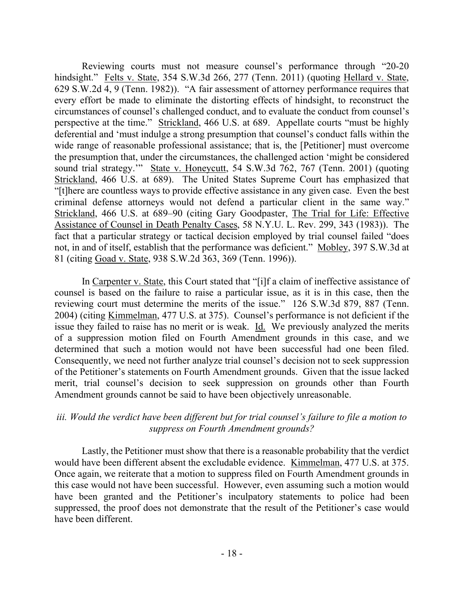Reviewing courts must not measure counsel's performance through "20-20 hindsight." Felts v. State, 354 S.W.3d 266, 277 (Tenn. 2011) (quoting Hellard v. State, 629 S.W.2d 4, 9 (Tenn. 1982)). "A fair assessment of attorney performance requires that every effort be made to eliminate the distorting effects of hindsight, to reconstruct the circumstances of counsel's challenged conduct, and to evaluate the conduct from counsel's perspective at the time." Strickland, 466 U.S. at 689. Appellate courts "must be highly deferential and 'must indulge a strong presumption that counsel's conduct falls within the wide range of reasonable professional assistance; that is, the [Petitioner] must overcome the presumption that, under the circumstances, the challenged action 'might be considered sound trial strategy.'" State v. Honeycutt, 54 S.W.3d 762, 767 (Tenn. 2001) (quoting Strickland, 466 U.S. at 689). The United States Supreme Court has emphasized that "[t]here are countless ways to provide effective assistance in any given case. Even the best criminal defense attorneys would not defend a particular client in the same way." Strickland, 466 U.S. at 689–90 (citing Gary Goodpaster, The Trial for Life: Effective Assistance of Counsel in Death Penalty Cases, 58 N.Y.U. L. Rev. 299, 343 (1983)). The fact that a particular strategy or tactical decision employed by trial counsel failed "does not, in and of itself, establish that the performance was deficient." Mobley, 397 S.W.3d at 81 (citing Goad v. State, 938 S.W.2d 363, 369 (Tenn. 1996)).

In Carpenter v. State, this Court stated that "[i]f a claim of ineffective assistance of counsel is based on the failure to raise a particular issue, as it is in this case, then the reviewing court must determine the merits of the issue." 126 S.W.3d 879, 887 (Tenn. 2004) (citing Kimmelman, 477 U.S. at 375). Counsel's performance is not deficient if the issue they failed to raise has no merit or is weak. Id. We previously analyzed the merits of a suppression motion filed on Fourth Amendment grounds in this case, and we determined that such a motion would not have been successful had one been filed. Consequently, we need not further analyze trial counsel's decision not to seek suppression of the Petitioner's statements on Fourth Amendment grounds. Given that the issue lacked merit, trial counsel's decision to seek suppression on grounds other than Fourth Amendment grounds cannot be said to have been objectively unreasonable.

# *iii. Would the verdict have been different but for trial counsel's failure to file a motion to suppress on Fourth Amendment grounds?*

Lastly, the Petitioner must show that there is a reasonable probability that the verdict would have been different absent the excludable evidence. Kimmelman, 477 U.S. at 375. Once again, we reiterate that a motion to suppress filed on Fourth Amendment grounds in this case would not have been successful. However, even assuming such a motion would have been granted and the Petitioner's inculpatory statements to police had been suppressed, the proof does not demonstrate that the result of the Petitioner's case would have been different.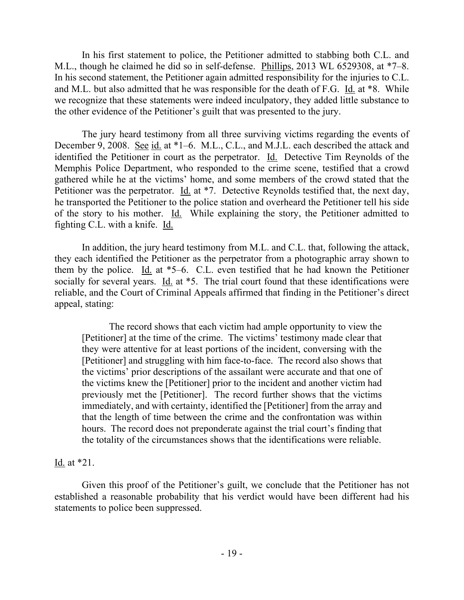In his first statement to police, the Petitioner admitted to stabbing both C.L. and M.L., though he claimed he did so in self-defense. Phillips, 2013 WL 6529308, at \*7–8. In his second statement, the Petitioner again admitted responsibility for the injuries to C.L. and M.L. but also admitted that he was responsible for the death of F.G. Id. at \*8. While we recognize that these statements were indeed inculpatory, they added little substance to the other evidence of the Petitioner's guilt that was presented to the jury.

The jury heard testimony from all three surviving victims regarding the events of December 9, 2008. See id. at \*1–6. M.L., C.L., and M.J.L. each described the attack and identified the Petitioner in court as the perpetrator. Id. Detective Tim Reynolds of the Memphis Police Department, who responded to the crime scene, testified that a crowd gathered while he at the victims' home, and some members of the crowd stated that the Petitioner was the perpetrator. Id. at \*7. Detective Reynolds testified that, the next day, he transported the Petitioner to the police station and overheard the Petitioner tell his side of the story to his mother. Id. While explaining the story, the Petitioner admitted to fighting C.L. with a knife. Id.

In addition, the jury heard testimony from M.L. and C.L. that, following the attack, they each identified the Petitioner as the perpetrator from a photographic array shown to them by the police. Id. at  $*5-6$ . C.L. even testified that he had known the Petitioner socially for several years. Id. at  $*5$ . The trial court found that these identifications were reliable, and the Court of Criminal Appeals affirmed that finding in the Petitioner's direct appeal, stating:

The record shows that each victim had ample opportunity to view the [Petitioner] at the time of the crime. The victims' testimony made clear that they were attentive for at least portions of the incident, conversing with the [Petitioner] and struggling with him face-to-face. The record also shows that the victims' prior descriptions of the assailant were accurate and that one of the victims knew the [Petitioner] prior to the incident and another victim had previously met the [Petitioner]. The record further shows that the victims immediately, and with certainty, identified the [Petitioner] from the array and that the length of time between the crime and the confrontation was within hours. The record does not preponderate against the trial court's finding that the totality of the circumstances shows that the identifications were reliable.

# Id. at \*21.

Given this proof of the Petitioner's guilt, we conclude that the Petitioner has not established a reasonable probability that his verdict would have been different had his statements to police been suppressed.